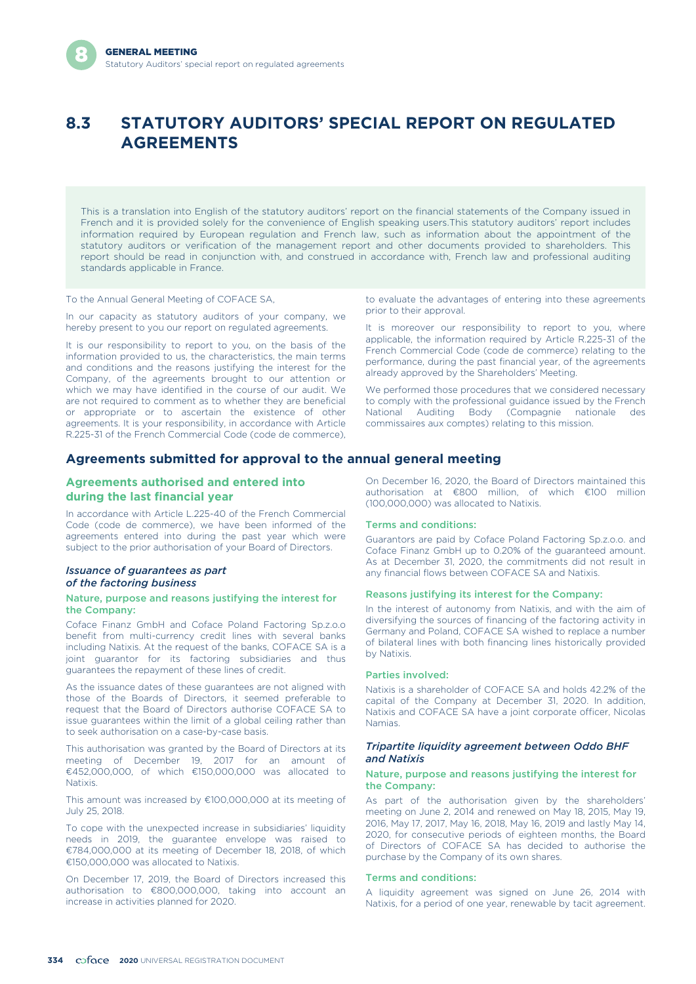# **8.3 STATUTORY AUDITORS' SPECIAL REPORT ON REGULATED AGREEMENTS**

This is a translation into English of the statutory auditors' report on the financial statements of the Company issued in French and it is provided solely for the convenience of English speaking users.This statutory auditors' report includes information required by European regulation and French law, such as information about the appointment of the statutory auditors or verification of the management report and other documents provided to shareholders. This report should be read in conjunction with, and construed in accordance with, French law and professional auditing standards applicable in France.

To the Annual General Meeting of COFACE SA,

In our capacity as statutory auditors of your company, we hereby present to you our report on regulated agreements.

It is our responsibility to report to you, on the basis of the information provided to us, the characteristics, the main terms and conditions and the reasons justifying the interest for the Company, of the agreements brought to our attention or which we may have identified in the course of our audit. We are not required to comment as to whether they are beneficial or appropriate or to ascertain the existence of other agreements. It is your responsibility, in accordance with Article R.225-31 of the French Commercial Code (code de commerce), to evaluate the advantages of entering into these agreements prior to their approval.

It is moreover our responsibility to report to you, where applicable, the information required by Article R.225-31 of the French Commercial Code (code de commerce) relating to the performance, during the past financial year, of the agreements already approved by the Shareholders' Meeting.

We performed those procedures that we considered necessary to comply with the professional guidance issued by the French National Auditing Body (Compagnie nationale des commissaires aux comptes) relating to this mission.

### **Agreements submitted for approval to the annual general meeting**

### **Agreements authorised and entered into during the last financial year**

In accordance with Article L.225-40 of the French Commercial Code (code de commerce), we have been informed of the agreements entered into during the past year which were subject to the prior authorisation of your Board of Directors.

### *Issuance of guarantees as part of the factoring business*

### Nature, purpose and reasons justifying the interest for the Company:

Coface Finanz GmbH and Coface Poland Factoring Sp.z.o.o benefit from multi-currency credit lines with several banks including Natixis. At the request of the banks, COFACE SA is a joint guarantor for its factoring subsidiaries and thus guarantees the repayment of these lines of credit.

As the issuance dates of these guarantees are not aligned with those of the Boards of Directors, it seemed preferable to request that the Board of Directors authorise COFACE SA to issue guarantees within the limit of a global ceiling rather than to seek authorisation on a case-by-case basis.

This authorisation was granted by the Board of Directors at its meeting of December 19, 2017 for an amount of €452,000,000, of which €150,000,000 was allocated to Natixis.

This amount was increased by €100,000,000 at its meeting of July 25, 2018.

To cope with the unexpected increase in subsidiaries' liquidity needs in 2019, the guarantee envelope was raised to €784,000,000 at its meeting of December 18, 2018, of which €150,000,000 was allocated to Natixis.

On December 17, 2019, the Board of Directors increased this authorisation to €800,000,000, taking into account an increase in activities planned for 2020.

On December 16, 2020, the Board of Directors maintained this authorisation at €800 million, of which €100 million (100,000,000) was allocated to Natixis.

### Terms and conditions:

Guarantors are paid by Coface Poland Factoring Sp.z.o.o. and Coface Finanz GmbH up to 0.20% of the guaranteed amount. As at December 31, 2020, the commitments did not result in any financial flows between COFACE SA and Natixis.

### Reasons justifying its interest for the Company:

In the interest of autonomy from Natixis, and with the aim of diversifying the sources of financing of the factoring activity in Germany and Poland, COFACE SA wished to replace a number of bilateral lines with both financing lines historically provided by Natixis.

### Parties involved:

Natixis is a shareholder of COFACE SA and holds 42.2% of the capital of the Company at December 31, 2020. In addition, Natixis and COFACE SA have a joint corporate officer, Nicolas Namias.

### *Tripartite liquidity agreement between Oddo BHF and Natixis*

### Nature, purpose and reasons justifying the interest for the Company:

As part of the authorisation given by the shareholders' meeting on June 2, 2014 and renewed on May 18, 2015, May 19, 2016, May 17, 2017, May 16, 2018, May 16, 2019 and lastly May 14, 2020, for consecutive periods of eighteen months, the Board of Directors of COFACE SA has decided to authorise the purchase by the Company of its own shares.

### Terms and conditions:

A liquidity agreement was signed on June 26, 2014 with Natixis, for a period of one year, renewable by tacit agreement.